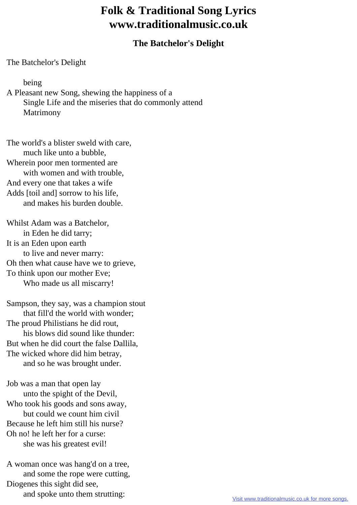## **Folk & Traditional Song Lyrics www.traditionalmusic.co.uk**

## **The Batchelor's Delight**

The Batchelor's Delight

being

A Pleasant new Song, shewing the happiness of a Single Life and the miseries that do commonly attend Matrimony

The world's a blister sweld with care, much like unto a bubble, Wherein poor men tormented are with women and with trouble. And every one that takes a wife Adds [toil and] sorrow to his life, and makes his burden double.

Whilst Adam was a Batchelor, in Eden he did tarry; It is an Eden upon earth to live and never marry: Oh then what cause have we to grieve, To think upon our mother Eve; Who made us all miscarry!

Sampson, they say, was a champion stout that fill'd the world with wonder; The proud Philistians he did rout, his blows did sound like thunder: But when he did court the false Dallila, The wicked whore did him betray, and so he was brought under.

Job was a man that open lay unto the spight of the Devil, Who took his goods and sons away, but could we count him civil Because he left him still his nurse? Oh no! he left her for a curse: she was his greatest evil!

A woman once was hang'd on a tree, and some the rope were cutting, Diogenes this sight did see, and spoke unto them strutting: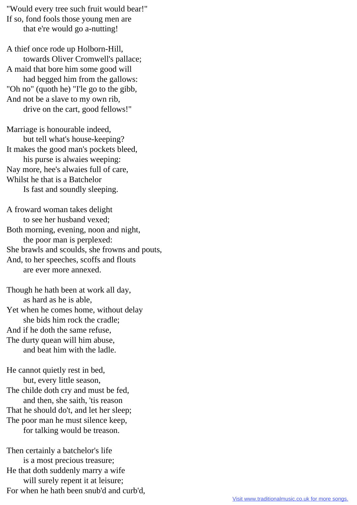"Would every tree such fruit would bear!" If so, fond fools those young men are that e're would go a-nutting!

A thief once rode up Holborn-Hill, towards Oliver Cromwell's pallace; A maid that bore him some good will had begged him from the gallows: "Oh no" (quoth he) "I'le go to the gibb, And not be a slave to my own rib, drive on the cart, good fellows!"

Marriage is honourable indeed, but tell what's house-keeping? It makes the good man's pockets bleed, his purse is alwaies weeping: Nay more, hee's alwaies full of care, Whilst he that is a Batchelor Is fast and soundly sleeping.

A froward woman takes delight to see her husband vexed; Both morning, evening, noon and night, the poor man is perplexed: She brawls and scoulds, she frowns and pouts, And, to her speeches, scoffs and flouts are ever more annexed.

Though he hath been at work all day, as hard as he is able, Yet when he comes home, without delay she bids him rock the cradle; And if he doth the same refuse, The durty quean will him abuse, and beat him with the ladle.

He cannot quietly rest in bed, but, every little season, The childe doth cry and must be fed, and then, she saith, 'tis reason That he should do't, and let her sleep; The poor man he must silence keep, for talking would be treason.

Then certainly a batchelor's life is a most precious treasure; He that doth suddenly marry a wife will surely repent it at leisure; For when he hath been snub'd and curb'd,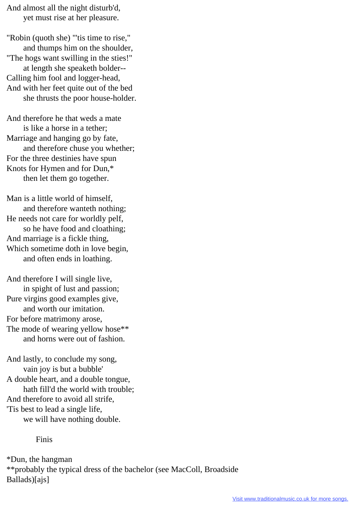And almost all the night disturb'd, yet must rise at her pleasure.

"Robin (quoth she) "'tis time to rise," and thumps him on the shoulder, "The hogs want swilling in the sties!" at length she speaketh bolder-- Calling him fool and logger-head, And with her feet quite out of the bed she thrusts the poor house-holder.

And therefore he that weds a mate is like a horse in a tether; Marriage and hanging go by fate, and therefore chuse you whether; For the three destinies have spun Knots for Hymen and for Dun,\* then let them go together.

Man is a little world of himself, and therefore wanteth nothing; He needs not care for worldly pelf, so he have food and cloathing; And marriage is a fickle thing, Which sometime doth in love begin, and often ends in loathing.

And therefore I will single live, in spight of lust and passion; Pure virgins good examples give, and worth our imitation. For before matrimony arose, The mode of wearing yellow hose\*\* and horns were out of fashion.

And lastly, to conclude my song, vain joy is but a bubble' A double heart, and a double tongue, hath fill'd the world with trouble; And therefore to avoid all strife, 'Tis best to lead a single life, we will have nothing double.

Finis

\*Dun, the hangman \*\*probably the typical dress of the bachelor (see MacColl, Broadside Ballads)[ajs]